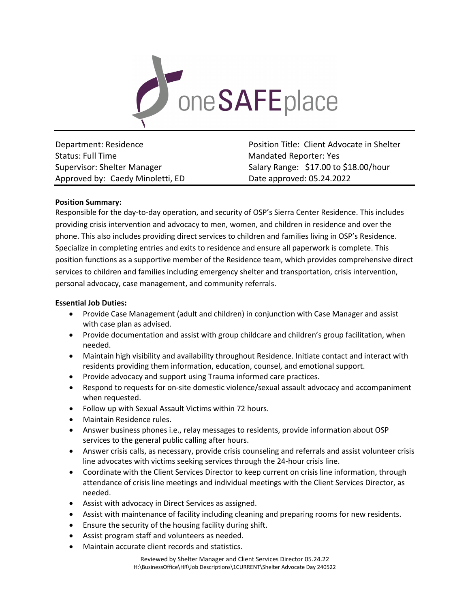

Status: Full Time **Mandated Reporter: Yes** Mandated Reporter: Yes Approved by: Caedy Minoletti, ED Date approved: 05.24.2022

Department: Residence **Position Title: Client Advocate in Shelter** Position Title: Client Advocate in Shelter Supervisor: Shelter Manager Salary Range: \$17.00 to \$18.00/hour

# **Position Summary:**

Responsible for the day-to-day operation, and security of OSP's Sierra Center Residence. This includes providing crisis intervention and advocacy to men, women, and children in residence and over the phone. This also includes providing direct services to children and families living in OSP's Residence. Specialize in completing entries and exits to residence and ensure all paperwork is complete. This position functions as a supportive member of the Residence team, which provides comprehensive direct services to children and families including emergency shelter and transportation, crisis intervention, personal advocacy, case management, and community referrals.

### **Essential Job Duties:**

- Provide Case Management (adult and children) in conjunction with Case Manager and assist with case plan as advised.
- Provide documentation and assist with group childcare and children's group facilitation, when needed.
- Maintain high visibility and availability throughout Residence. Initiate contact and interact with residents providing them information, education, counsel, and emotional support.
- Provide advocacy and support using Trauma informed care practices.
- Respond to requests for on-site domestic violence/sexual assault advocacy and accompaniment when requested.
- Follow up with Sexual Assault Victims within 72 hours.
- Maintain Residence rules.
- Answer business phones i.e., relay messages to residents, provide information about OSP services to the general public calling after hours.
- Answer crisis calls, as necessary, provide crisis counseling and referrals and assist volunteer crisis line advocates with victims seeking services through the 24-hour crisis line.
- Coordinate with the Client Services Director to keep current on crisis line information, through attendance of crisis line meetings and individual meetings with the Client Services Director, as needed.
- Assist with advocacy in Direct Services as assigned.
- Assist with maintenance of facility including cleaning and preparing rooms for new residents.
- Ensure the security of the housing facility during shift.
- Assist program staff and volunteers as needed.
- Maintain accurate client records and statistics.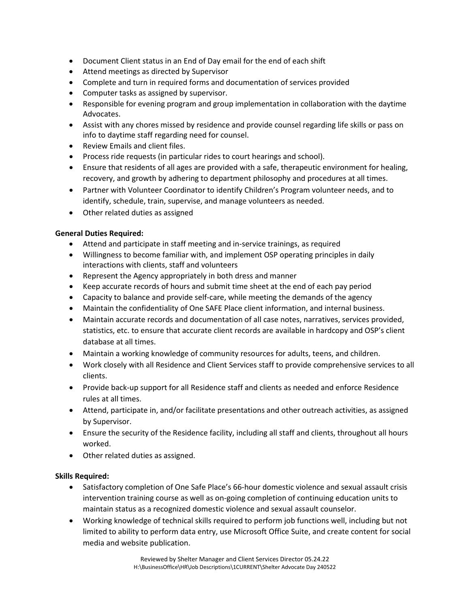- Document Client status in an End of Day email for the end of each shift
- Attend meetings as directed by Supervisor
- Complete and turn in required forms and documentation of services provided
- Computer tasks as assigned by supervisor.
- Responsible for evening program and group implementation in collaboration with the daytime Advocates.
- Assist with any chores missed by residence and provide counsel regarding life skills or pass on info to daytime staff regarding need for counsel.
- Review Emails and client files.
- Process ride requests (in particular rides to court hearings and school).
- Ensure that residents of all ages are provided with a safe, therapeutic environment for healing, recovery, and growth by adhering to department philosophy and procedures at all times.
- Partner with Volunteer Coordinator to identify Children's Program volunteer needs, and to identify, schedule, train, supervise, and manage volunteers as needed.
- Other related duties as assigned

## **General Duties Required:**

- Attend and participate in staff meeting and in-service trainings, as required
- Willingness to become familiar with, and implement OSP operating principles in daily interactions with clients, staff and volunteers
- Represent the Agency appropriately in both dress and manner
- Keep accurate records of hours and submit time sheet at the end of each pay period
- Capacity to balance and provide self-care, while meeting the demands of the agency
- Maintain the confidentiality of One SAFE Place client information, and internal business.
- Maintain accurate records and documentation of all case notes, narratives, services provided, statistics, etc. to ensure that accurate client records are available in hardcopy and OSP's client database at all times.
- Maintain a working knowledge of community resources for adults, teens, and children.
- Work closely with all Residence and Client Services staff to provide comprehensive services to all clients.
- Provide back-up support for all Residence staff and clients as needed and enforce Residence rules at all times.
- Attend, participate in, and/or facilitate presentations and other outreach activities, as assigned by Supervisor.
- Ensure the security of the Residence facility, including all staff and clients, throughout all hours worked.
- Other related duties as assigned.

## **Skills Required:**

- Satisfactory completion of One Safe Place's 66-hour domestic violence and sexual assault crisis intervention training course as well as on-going completion of continuing education units to maintain status as a recognized domestic violence and sexual assault counselor.
- Working knowledge of technical skills required to perform job functions well, including but not limited to ability to perform data entry, use Microsoft Office Suite, and create content for social media and website publication.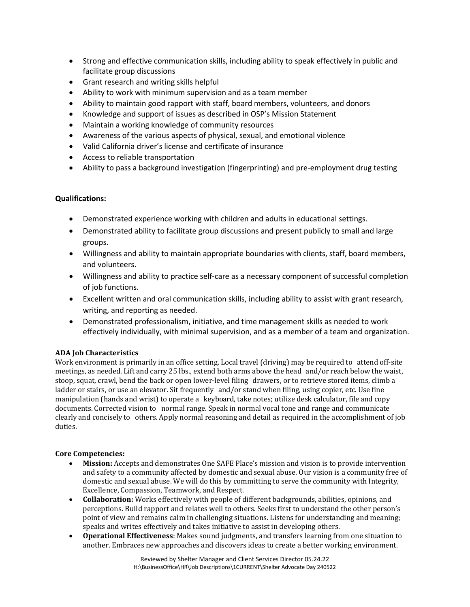- Strong and effective communication skills, including ability to speak effectively in public and facilitate group discussions
- Grant research and writing skills helpful
- Ability to work with minimum supervision and as a team member
- Ability to maintain good rapport with staff, board members, volunteers, and donors
- Knowledge and support of issues as described in OSP's Mission Statement
- Maintain a working knowledge of community resources
- Awareness of the various aspects of physical, sexual, and emotional violence
- Valid California driver's license and certificate of insurance
- Access to reliable transportation
- Ability to pass a background investigation (fingerprinting) and pre-employment drug testing

# **Qualifications:**

- Demonstrated experience working with children and adults in educational settings.
- Demonstrated ability to facilitate group discussions and present publicly to small and large groups.
- Willingness and ability to maintain appropriate boundaries with clients, staff, board members, and volunteers.
- Willingness and ability to practice self-care as a necessary component of successful completion of job functions.
- Excellent written and oral communication skills, including ability to assist with grant research, writing, and reporting as needed.
- Demonstrated professionalism, initiative, and time management skills as needed to work effectively individually, with minimal supervision, and as a member of a team and organization.

## **ADA Job Characteristics**

Work environment is primarily in an office setting. Local travel (driving) may be required to attend off-site meetings, as needed. Lift and carry 25 lbs., extend both arms above the head and/or reach below the waist, stoop, squat, crawl, bend the back or open lower-level filing drawers, or to retrieve stored items, climb a ladder or stairs, or use an elevator. Sit frequently and/or stand when filing, using copier, etc. Use fine manipulation (hands and wrist) to operate a keyboard, take notes; utilize desk calculator, file and copy documents. Corrected vision to normal range. Speak in normal vocal tone and range and communicate clearly and concisely to others. Apply normal reasoning and detail as required in the accomplishment of job duties.

## **Core Competencies:**

- **Mission:** Accepts and demonstrates One SAFE Place's mission and vision is to provide intervention and safety to a community affected by domestic and sexual abuse. Our vision is a community free of domestic and sexual abuse. We will do this by committing to serve the community with Integrity, Excellence, Compassion, Teamwork, and Respect.
- **Collaboration:** Works effectively with people of different backgrounds, abilities, opinions, and perceptions. Build rapport and relates well to others. Seeks first to understand the other person's point of view and remains calm in challenging situations. Listens for understanding and meaning; speaks and writes effectively and takes initiative to assist in developing others.
- **Operational Effectiveness**: Makes sound judgments, and transfers learning from one situation to another. Embraces new approaches and discovers ideas to create a better working environment.